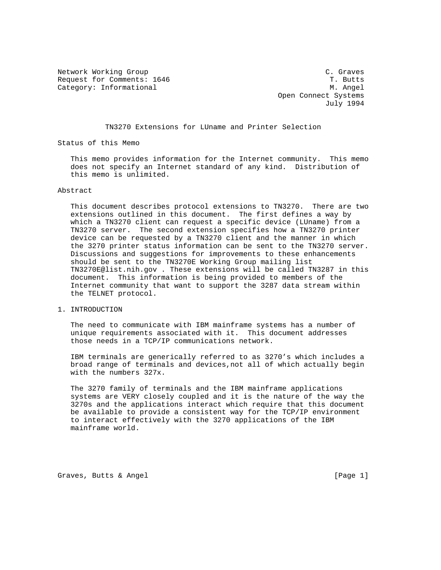Network Working Group C. Graves Request for Comments: 1646 T. Butts Category: Informational M. Angel

 Open Connect Systems July 1994

### TN3270 Extensions for LUname and Printer Selection

Status of this Memo

 This memo provides information for the Internet community. This memo does not specify an Internet standard of any kind. Distribution of this memo is unlimited.

#### Abstract

 This document describes protocol extensions to TN3270. There are two extensions outlined in this document. The first defines a way by which a TN3270 client can request a specific device (LUname) from a TN3270 server. The second extension specifies how a TN3270 printer device can be requested by a TN3270 client and the manner in which the 3270 printer status information can be sent to the TN3270 server. Discussions and suggestions for improvements to these enhancements should be sent to the TN3270E Working Group mailing list TN3270E@list.nih.gov . These extensions will be called TN3287 in this document. This information is being provided to members of the Internet community that want to support the 3287 data stream within the TELNET protocol.

## 1. INTRODUCTION

 The need to communicate with IBM mainframe systems has a number of unique requirements associated with it. This document addresses those needs in a TCP/IP communications network.

 IBM terminals are generically referred to as 3270's which includes a broad range of terminals and devices,not all of which actually begin with the numbers 327x.

 The 3270 family of terminals and the IBM mainframe applications systems are VERY closely coupled and it is the nature of the way the 3270s and the applications interact which require that this document be available to provide a consistent way for the TCP/IP environment to interact effectively with the 3270 applications of the IBM mainframe world.

Graves, Butts & Angel **Example 20** and the contract of the contract of  $[Page 1]$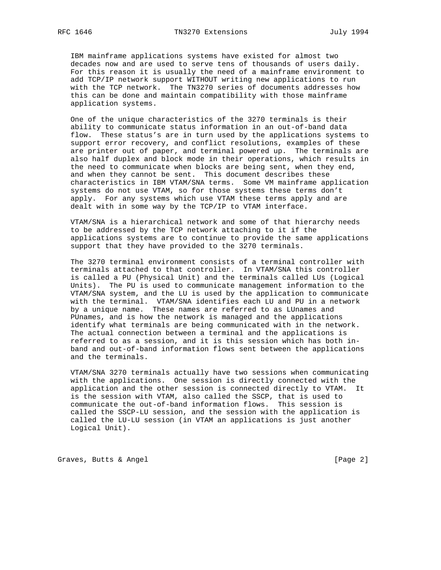IBM mainframe applications systems have existed for almost two decades now and are used to serve tens of thousands of users daily. For this reason it is usually the need of a mainframe environment to add TCP/IP network support WITHOUT writing new applications to run with the TCP network. The TN3270 series of documents addresses how this can be done and maintain compatibility with those mainframe application systems.

 One of the unique characteristics of the 3270 terminals is their ability to communicate status information in an out-of-band data flow. These status's are in turn used by the applications systems to support error recovery, and conflict resolutions, examples of these are printer out of paper, and terminal powered up. The terminals are also half duplex and block mode in their operations, which results in the need to communicate when blocks are being sent, when they end, and when they cannot be sent. This document describes these characteristics in IBM VTAM/SNA terms. Some VM mainframe application systems do not use VTAM, so for those systems these terms don't apply. For any systems which use VTAM these terms apply and are dealt with in some way by the TCP/IP to VTAM interface.

 VTAM/SNA is a hierarchical network and some of that hierarchy needs to be addressed by the TCP network attaching to it if the applications systems are to continue to provide the same applications support that they have provided to the 3270 terminals.

 The 3270 terminal environment consists of a terminal controller with terminals attached to that controller. In VTAM/SNA this controller is called a PU (Physical Unit) and the terminals called LUs (Logical Units). The PU is used to communicate management information to the VTAM/SNA system, and the LU is used by the application to communicate with the terminal. VTAM/SNA identifies each LU and PU in a network by a unique name. These names are referred to as LUnames and PUnames, and is how the network is managed and the applications identify what terminals are being communicated with in the network. The actual connection between a terminal and the applications is referred to as a session, and it is this session which has both in band and out-of-band information flows sent between the applications and the terminals.

 VTAM/SNA 3270 terminals actually have two sessions when communicating with the applications. One session is directly connected with the application and the other session is connected directly to VTAM. It is the session with VTAM, also called the SSCP, that is used to communicate the out-of-band information flows. This session is called the SSCP-LU session, and the session with the application is called the LU-LU session (in VTAM an applications is just another Logical Unit).

Graves, Butts & Angel **Example 2** and the control of the control of  $[Page 2]$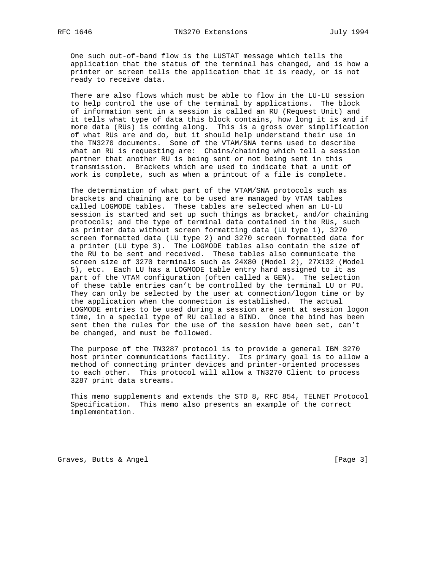One such out-of-band flow is the LUSTAT message which tells the application that the status of the terminal has changed, and is how a printer or screen tells the application that it is ready, or is not ready to receive data.

 There are also flows which must be able to flow in the LU-LU session to help control the use of the terminal by applications. The block of information sent in a session is called an RU (Request Unit) and it tells what type of data this block contains, how long it is and if more data (RUs) is coming along. This is a gross over simplification of what RUs are and do, but it should help understand their use in the TN3270 documents. Some of the VTAM/SNA terms used to describe what an RU is requesting are: Chains/chaining which tell a session partner that another RU is being sent or not being sent in this transmission. Brackets which are used to indicate that a unit of work is complete, such as when a printout of a file is complete.

 The determination of what part of the VTAM/SNA protocols such as brackets and chaining are to be used are managed by VTAM tables called LOGMODE tables. These tables are selected when an LU-LU session is started and set up such things as bracket, and/or chaining protocols; and the type of terminal data contained in the RUs, such as printer data without screen formatting data (LU type 1), 3270 screen formatted data (LU type 2) and 3270 screen formatted data for a printer (LU type 3). The LOGMODE tables also contain the size of the RU to be sent and received. These tables also communicate the screen size of 3270 terminals such as 24X80 (Model 2), 27X132 (Model 5), etc. Each LU has a LOGMODE table entry hard assigned to it as part of the VTAM configuration (often called a GEN). The selection of these table entries can't be controlled by the terminal LU or PU. They can only be selected by the user at connection/logon time or by the application when the connection is established. The actual LOGMODE entries to be used during a session are sent at session logon time, in a special type of RU called a BIND. Once the bind has been sent then the rules for the use of the session have been set, can't be changed, and must be followed.

 The purpose of the TN3287 protocol is to provide a general IBM 3270 host printer communications facility. Its primary goal is to allow a method of connecting printer devices and printer-oriented processes to each other. This protocol will allow a TN3270 Client to process 3287 print data streams.

 This memo supplements and extends the STD 8, RFC 854, TELNET Protocol Specification. This memo also presents an example of the correct implementation.

Graves, Butts & Angel **Example 20** (Page 3)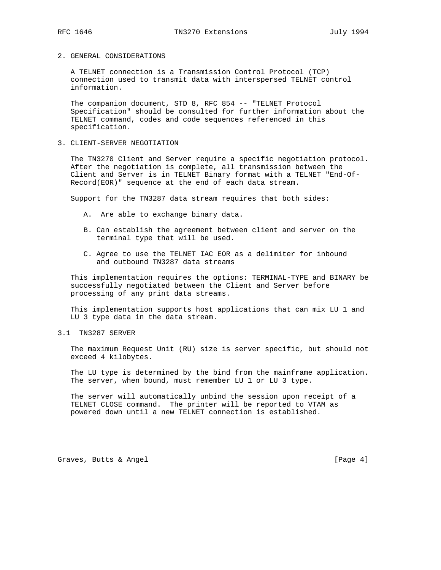#### 2. GENERAL CONSIDERATIONS

 A TELNET connection is a Transmission Control Protocol (TCP) connection used to transmit data with interspersed TELNET control information.

 The companion document, STD 8, RFC 854 -- "TELNET Protocol Specification" should be consulted for further information about the TELNET command, codes and code sequences referenced in this specification.

#### 3. CLIENT-SERVER NEGOTIATION

 The TN3270 Client and Server require a specific negotiation protocol. After the negotiation is complete, all transmission between the Client and Server is in TELNET Binary format with a TELNET "End-Of- Record(EOR)" sequence at the end of each data stream.

Support for the TN3287 data stream requires that both sides:

- A. Are able to exchange binary data.
- B. Can establish the agreement between client and server on the terminal type that will be used.
- C. Agree to use the TELNET IAC EOR as a delimiter for inbound and outbound TN3287 data streams

 This implementation requires the options: TERMINAL-TYPE and BINARY be successfully negotiated between the Client and Server before processing of any print data streams.

 This implementation supports host applications that can mix LU 1 and LU 3 type data in the data stream.

3.1 TN3287 SERVER

 The maximum Request Unit (RU) size is server specific, but should not exceed 4 kilobytes.

 The LU type is determined by the bind from the mainframe application. The server, when bound, must remember LU 1 or LU 3 type.

 The server will automatically unbind the session upon receipt of a TELNET CLOSE command. The printer will be reported to VTAM as powered down until a new TELNET connection is established.

Graves, Butts & Angel **Example 20** and the contract of the contract of  $[Page 4]$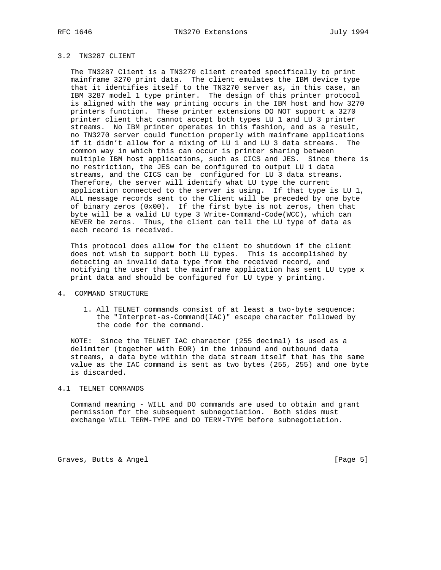# 3.2 TN3287 CLIENT

 The TN3287 Client is a TN3270 client created specifically to print mainframe 3270 print data. The client emulates the IBM device type that it identifies itself to the TN3270 server as, in this case, an IBM 3287 model 1 type printer. The design of this printer protocol is aligned with the way printing occurs in the IBM host and how 3270 printers function. These printer extensions DO NOT support a 3270 printer client that cannot accept both types LU 1 and LU 3 printer streams. No IBM printer operates in this fashion, and as a result, no TN3270 server could function properly with mainframe applications if it didn't allow for a mixing of LU 1 and LU 3 data streams. The common way in which this can occur is printer sharing between multiple IBM host applications, such as CICS and JES. Since there is no restriction, the JES can be configured to output LU 1 data streams, and the CICS can be configured for LU 3 data streams. Therefore, the server will identify what LU type the current application connected to the server is using. If that type is LU 1, ALL message records sent to the Client will be preceded by one byte of binary zeros (0x00). If the first byte is not zeros, then that byte will be a valid LU type 3 Write-Command-Code(WCC), which can NEVER be zeros. Thus, the client can tell the LU type of data as each record is received.

 This protocol does allow for the client to shutdown if the client does not wish to support both LU types. This is accomplished by detecting an invalid data type from the received record, and notifying the user that the mainframe application has sent LU type x print data and should be configured for LU type y printing.

### 4. COMMAND STRUCTURE

 1. All TELNET commands consist of at least a two-byte sequence: the "Interpret-as-Command(IAC)" escape character followed by the code for the command.

 NOTE: Since the TELNET IAC character (255 decimal) is used as a delimiter (together with EOR) in the inbound and outbound data streams, a data byte within the data stream itself that has the same value as the IAC command is sent as two bytes (255, 255) and one byte is discarded.

## 4.1 TELNET COMMANDS

 Command meaning - WILL and DO commands are used to obtain and grant permission for the subsequent subnegotiation. Both sides must exchange WILL TERM-TYPE and DO TERM-TYPE before subnegotiation.

Graves, Butts & Angel **Example 20** (Page 5)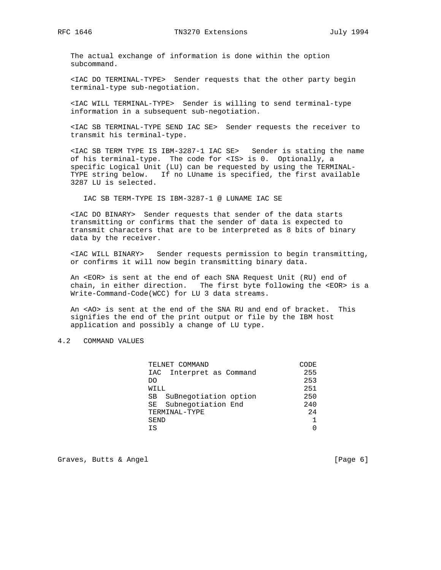The actual exchange of information is done within the option subcommand.

 <IAC DO TERMINAL-TYPE> Sender requests that the other party begin terminal-type sub-negotiation.

 <IAC WILL TERMINAL-TYPE> Sender is willing to send terminal-type information in a subsequent sub-negotiation.

 <IAC SB TERMINAL-TYPE SEND IAC SE> Sender requests the receiver to transmit his terminal-type.

 <IAC SB TERM TYPE IS IBM-3287-1 IAC SE> Sender is stating the name of his terminal-type. The code for <IS> is 0. Optionally, a specific Logical Unit (LU) can be requested by using the TERMINAL- TYPE string below. If no LUname is specified, the first available 3287 LU is selected.

IAC SB TERM-TYPE IS IBM-3287-1 @ LUNAME IAC SE

 <IAC DO BINARY> Sender requests that sender of the data starts transmitting or confirms that the sender of data is expected to transmit characters that are to be interpreted as 8 bits of binary data by the receiver.

 <IAC WILL BINARY> Sender requests permission to begin transmitting, or confirms it will now begin transmitting binary data.

 An <EOR> is sent at the end of each SNA Request Unit (RU) end of chain, in either direction. The first byte following the <EOR> is a Write-Command-Code(WCC) for LU 3 data streams.

 An <AO> is sent at the end of the SNA RU and end of bracket. This signifies the end of the print output or file by the IBM host application and possibly a change of LU type.

# 4.2 COMMAND VALUES

| CODE |
|------|
| 255  |
| 253  |
| 251  |
| 250  |
| 240  |
| 24   |
|      |
| 0    |
|      |

Graves, Butts & Angel **Example 20** and the control of the control of  $[Page 6]$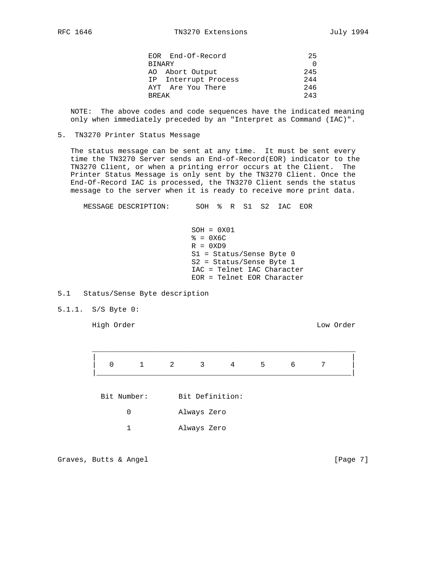| EOR End-Of-Record    | 25       |
|----------------------|----------|
| <b>BINARY</b>        | $\Omega$ |
| AO Abort Output      | 245      |
| IP Interrupt Process | 244      |
| AYT Are You There    | 246      |
| <b>BREAK</b>         | 2.43     |

 NOTE: The above codes and code sequences have the indicated meaning only when immediately preceded by an "Interpret as Command (IAC)".

### 5. TN3270 Printer Status Message

 The status message can be sent at any time. It must be sent every time the TN3270 Server sends an End-of-Record(EOR) indicator to the TN3270 Client, or when a printing error occurs at the Client. The Printer Status Message is only sent by the TN3270 Client. Once the End-Of-Record IAC is processed, the TN3270 Client sends the status message to the server when it is ready to receive more print data.

MESSAGE DESCRIPTION: SOH % R S1 S2 IAC EOR

### 5.1 Status/Sense Byte description

5.1.1. S/S Byte 0:

High Order Low Order

 $\mathcal{L}_\text{max}$  , and the contribution of the contribution of the contribution of the contribution of the contribution of the contribution of the contribution of the contribution of the contribution of the contribution of t | | 0 1 2 3 4 5 6 7 |\_\_\_\_\_\_\_\_\_\_\_\_\_\_\_\_\_\_\_\_\_\_\_\_\_\_\_\_\_\_\_\_\_\_\_\_\_\_\_\_\_\_\_\_\_\_\_\_\_\_\_\_\_\_\_\_\_\_\_| Bit Number: Bit Definition: 0 Always Zero 1 Always Zero

Graves, Butts & Angel **Example 20** and the control of the control of  $[Page 7]$ 

SOH = 0X01  $\epsilon = 0 \times 6C$  $R = 0XD9$  S1 = Status/Sense Byte 0 S2 = Status/Sense Byte 1 IAC = Telnet IAC Character EOR = Telnet EOR Character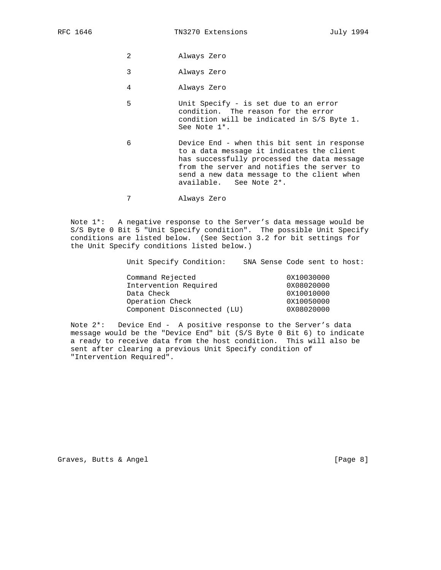- 2 Always Zero
- 3 Always Zero
- 4 Always Zero
- 5 Unit Specify is set due to an error condition. The reason for the error condition will be indicated in S/S Byte 1. See Note 1\*.
- 6 Device End when this bit sent in response to a data message it indicates the client has successfully processed the data message from the server and notifies the server to send a new data message to the client when available. See Note 2\*.
- 7 Always Zero

 Note 1\*: A negative response to the Server's data message would be S/S Byte 0 Bit 5 "Unit Specify condition". The possible Unit Specify conditions are listed below. (See Section 3.2 for bit settings for the Unit Specify conditions listed below.)

Unit Specify Condition: SNA Sense Code sent to host:

| Command Rejected            | 0X10030000 |
|-----------------------------|------------|
| Intervention Required       | 0X08020000 |
| Data Check                  | 0X10010000 |
| Operation Check             | 0X10050000 |
| Component Disconnected (LU) | 0X08020000 |

 Note 2\*: Device End - A positive response to the Server's data message would be the "Device End" bit (S/S Byte 0 Bit 6) to indicate a ready to receive data from the host condition. This will also be sent after clearing a previous Unit Specify condition of "Intervention Required".

Graves, Butts & Angel **Example 20** and the control of the control of  $[Page 8]$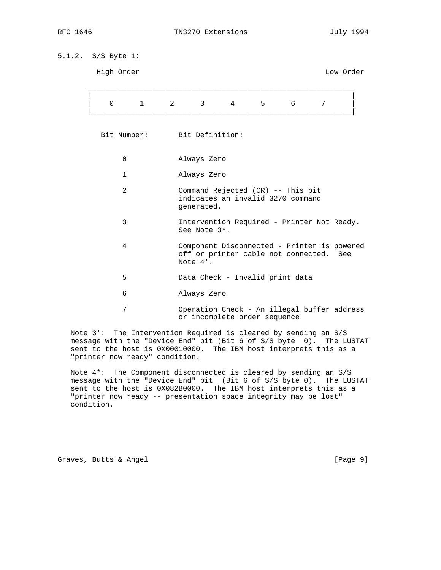# 5.1.2. S/S Byte 1:

| High Order                                                                                |                             |                                                                                                       |                 |                |   |   | Low Order |
|-------------------------------------------------------------------------------------------|-----------------------------|-------------------------------------------------------------------------------------------------------|-----------------|----------------|---|---|-----------|
| $\mathbf 0$                                                                               | $\mathbf{1}$<br>$2^{\circ}$ | $3^{\circ}$                                                                                           | $4\overline{ }$ | 5 <sup>1</sup> | 6 | 7 |           |
|                                                                                           | Bit Number: Bit Definition: |                                                                                                       |                 |                |   |   |           |
| 0                                                                                         |                             | Always Zero                                                                                           |                 |                |   |   |           |
| 1                                                                                         |                             | Always Zero                                                                                           |                 |                |   |   |           |
| 2<br>Command Rejected (CR) -- This bit<br>indicates an invalid 3270 command<br>generated. |                             |                                                                                                       |                 |                |   |   |           |
| 3                                                                                         |                             | Intervention Required - Printer Not Ready.<br>See Note 3*.                                            |                 |                |   |   |           |
| 4                                                                                         |                             | Component Disconnected - Printer is powered<br>off or printer cable not connected.<br>See<br>Note 4*. |                 |                |   |   |           |
| 5                                                                                         |                             | Data Check - Invalid print data                                                                       |                 |                |   |   |           |
| 6                                                                                         |                             | Always Zero                                                                                           |                 |                |   |   |           |
| 7                                                                                         |                             | Operation Check - An illegal buffer address                                                           |                 |                |   |   |           |

 Note 3\*: The Intervention Required is cleared by sending an S/S message with the "Device End" bit (Bit 6 of S/S byte 0). The LUSTAT sent to the host is 0X00010000. The IBM host interprets this as a "printer now ready" condition.

or incomplete order sequence

 Note 4\*: The Component disconnected is cleared by sending an S/S message with the "Device End" bit (Bit 6 of S/S byte 0). The LUSTAT sent to the host is 0X082B0000. The IBM host interprets this as a "printer now ready -- presentation space integrity may be lost" condition.

Graves, Butts & Angel **Example 20** (Page 9)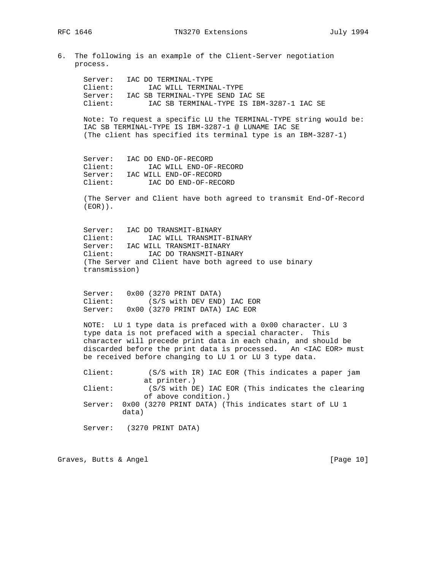6. The following is an example of the Client-Server negotiation process.

 Server: IAC DO TERMINAL-TYPE Client: IAC WILL TERMINAL-TYPE

 Server: IAC SB TERMINAL-TYPE SEND IAC SE Client: IAC SB TERMINAL-TYPE IS IBM-3287-1 IAC SE Note: To request a specific LU the TERMINAL-TYPE string would be: IAC SB TERMINAL-TYPE IS IBM-3287-1 @ LUNAME IAC SE (The client has specified its terminal type is an IBM-3287-1) Server: IAC DO END-OF-RECORD<br>Client: IAC WILL END-OF IAC WILL END-OF-RECORD Server: IAC WILL END-OF-RECORD Client: IAC DO END-OF-RECORD (The Server and Client have both agreed to transmit End-Of-Record (EOR)). Server: IAC DO TRANSMIT-BINARY<br>Client: IAC WILL TRANSMIT-IAC WILL TRANSMIT-BINARY Server: IAC WILL TRANSMIT-BINARY Client: IAC DO TRANSMIT-BINARY (The Server and Client have both agreed to use binary transmission) Server: 0x00 (3270 PRINT DATA) Client: (S/S with DEV END) IAC EOR Server: 0x00 (3270 PRINT DATA) IAC EOR NOTE: LU 1 type data is prefaced with a 0x00 character. LU 3 type data is not prefaced with a special character. This character will precede print data in each chain, and should be discarded before the print data is processed. An <IAC EOR> must be received before changing to LU 1 or LU 3 type data. Client: (S/S with IR) IAC EOR (This indicates a paper jam at printer.) Client: (S/S with DE) IAC EOR (This indicates the clearing of above condition.) Server: 0x00 (3270 PRINT DATA) (This indicates start of LU 1 data) Server: (3270 PRINT DATA)

Graves, Butts & Angel [Page 10]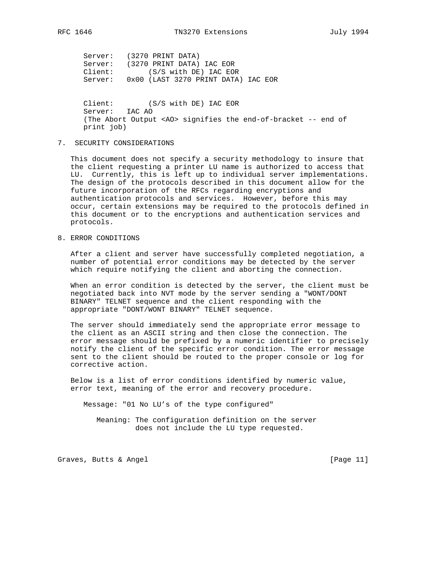Server: (3270 PRINT DATA) Server: (3270 PRINT DATA) IAC EOR Client: (S/S with DE) IAC EOR Server: 0x00 (LAST 3270 PRINT DATA) IAC EOR

> Client: (S/S with DE) IAC EOR Server: IAC AO (The Abort Output <AO> signifies the end-of-bracket -- end of print job)

7. SECURITY CONSIDERATIONS

 This document does not specify a security methodology to insure that the client requesting a printer LU name is authorized to access that LU. Currently, this is left up to individual server implementations. The design of the protocols described in this document allow for the future incorporation of the RFCs regarding encryptions and authentication protocols and services. However, before this may occur, certain extensions may be required to the protocols defined in this document or to the encryptions and authentication services and protocols.

8. ERROR CONDITIONS

 After a client and server have successfully completed negotiation, a number of potential error conditions may be detected by the server which require notifying the client and aborting the connection.

 When an error condition is detected by the server, the client must be negotiated back into NVT mode by the server sending a "WONT/DONT BINARY" TELNET sequence and the client responding with the appropriate "DONT/WONT BINARY" TELNET sequence.

 The server should immediately send the appropriate error message to the client as an ASCII string and then close the connection. The error message should be prefixed by a numeric identifier to precisely notify the client of the specific error condition. The error message sent to the client should be routed to the proper console or log for corrective action.

 Below is a list of error conditions identified by numeric value, error text, meaning of the error and recovery procedure.

Message: "01 No LU's of the type configured"

 Meaning: The configuration definition on the server does not include the LU type requested.

Graves, Butts & Angel [Page 11]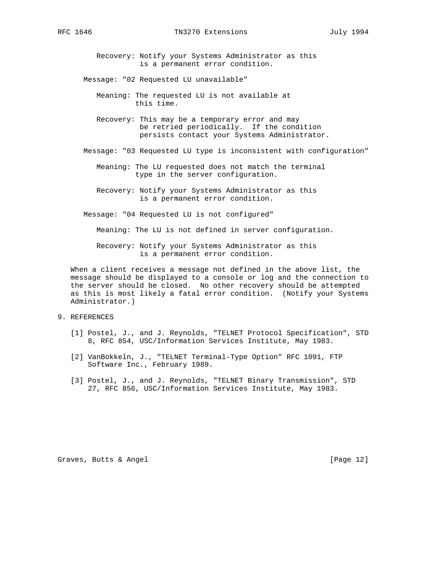Recovery: Notify your Systems Administrator as this is a permanent error condition.

Message: "02 Requested LU unavailable"

- Meaning: The requested LU is not available at this time.
- Recovery: This may be a temporary error and may be retried periodically. If the condition persists contact your Systems Administrator.
- Message: "03 Requested LU type is inconsistent with configuration"
	- Meaning: The LU requested does not match the terminal type in the server configuration.
	- Recovery: Notify your Systems Administrator as this is a permanent error condition.
- Message: "04 Requested LU is not configured"

Meaning: The LU is not defined in server configuration.

 Recovery: Notify your Systems Administrator as this is a permanent error condition.

 When a client receives a message not defined in the above list, the message should be displayed to a console or log and the connection to the server should be closed. No other recovery should be attempted as this is most likely a fatal error condition. (Notify your Systems Administrator.)

- 9. REFERENCES
	- [1] Postel, J., and J. Reynolds, "TELNET Protocol Specification", STD 8, RFC 854, USC/Information Services Institute, May 1983.
	- [2] VanBokkeln, J., "TELNET Terminal-Type Option" RFC 1091, FTP Software Inc., February 1989.
	- [3] Postel, J., and J. Reynolds, "TELNET Binary Transmission", STD 27, RFC 856, USC/Information Services Institute, May 1983.